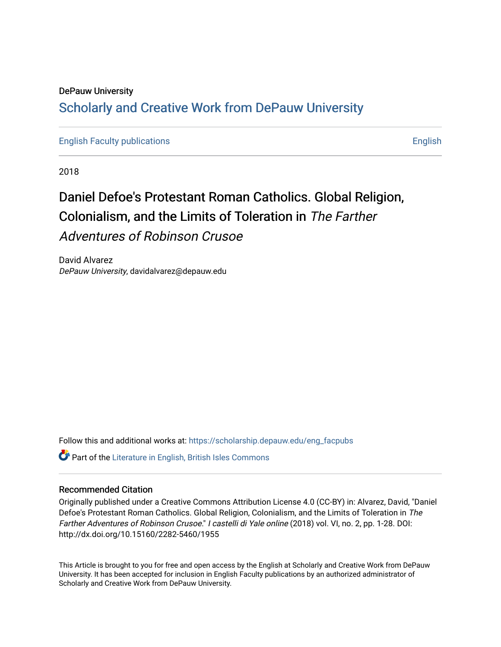## DePauw University Scholarly and [Creative Work from DePauw Univ](https://scholarship.depauw.edu/)ersity

[English Faculty publications](https://scholarship.depauw.edu/eng_facpubs) [English](https://scholarship.depauw.edu/english) 

2018

# Daniel Defoe's Protestant Roman Catholics. Global Religion, Colonialism, and the Limits of Toleration in The Farther Adventures of Robinson Crusoe

David Alvarez DePauw University, davidalvarez@depauw.edu

Follow this and additional works at: [https://scholarship.depauw.edu/eng\\_facpubs](https://scholarship.depauw.edu/eng_facpubs?utm_source=scholarship.depauw.edu%2Feng_facpubs%2F22&utm_medium=PDF&utm_campaign=PDFCoverPages) 

 $\bullet$  Part of the [Literature in English, British Isles Commons](https://network.bepress.com/hgg/discipline/456?utm_source=scholarship.depauw.edu%2Feng_facpubs%2F22&utm_medium=PDF&utm_campaign=PDFCoverPages)

#### Recommended Citation

Originally published under a Creative Commons Attribution License 4.0 (CC-BY) in: Alvarez, David, "Daniel Defoe's Protestant Roman Catholics. Global Religion, Colonialism, and the Limits of Toleration in The Farther Adventures of Robinson Crusoe." I castelli di Yale online (2018) vol. VI, no. 2, pp. 1-28. DOI: http://dx.doi.org/10.15160/2282-5460/1955

This Article is brought to you for free and open access by the English at Scholarly and Creative Work from DePauw University. It has been accepted for inclusion in English Faculty publications by an authorized administrator of Scholarly and Creative Work from DePauw University.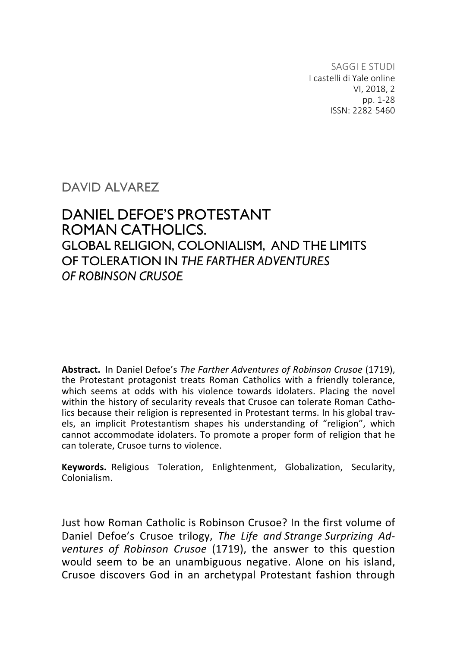SAGGI E STUDI I castelli di Yale online VI, 2018, 2 pp. 1-28 ISSN: 2282-5460

#### DAVID AI VARFZ

### DANIEL DEFOE'S PROTESTANT ROMAN CATHOLICS. GLOBAL RELIGION, COLONIALISM, AND THE LIMITS OF TOLERATION IN *THE FARTHER ADVENTURES OF ROBINSON CRUSOE*

Abstract. In Daniel Defoe's The Farther Adventures of Robinson Crusoe (1719), the Protestant protagonist treats Roman Catholics with a friendly tolerance, which seems at odds with his violence towards idolaters. Placing the novel within the history of secularity reveals that Crusoe can tolerate Roman Catholics because their religion is represented in Protestant terms. In his global travels, an implicit Protestantism shapes his understanding of "religion", which cannot accommodate idolaters. To promote a proper form of religion that he can tolerate, Crusoe turns to violence.

**Keywords.** Religious Toleration, Enlightenment, Globalization, Secularity, Colonialism.

Just how Roman Catholic is Robinson Crusoe? In the first volume of Daniel Defoe's Crusoe trilogy, The Life and Strange Surprizing Ad*ventures of Robinson Crusoe* (1719), the answer to this question would seem to be an unambiguous negative. Alone on his island, Crusoe discovers God in an archetypal Protestant fashion through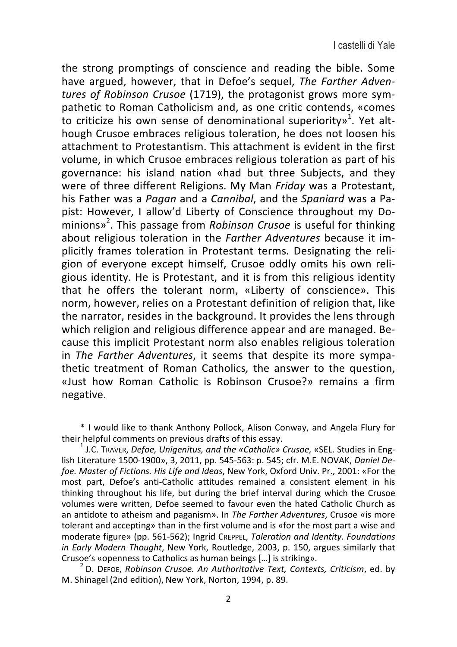the strong promptings of conscience and reading the bible. Some have argued, however, that in Defoe's sequel, *The Farther Adventures of Robinson Crusoe* (1719), the protagonist grows more sympathetic to Roman Catholicism and, as one critic contends, «comes to criticize his own sense of denominational superiority»<sup>1</sup>. Yet although Crusoe embraces religious toleration, he does not loosen his attachment to Protestantism. This attachment is evident in the first volume, in which Crusoe embraces religious toleration as part of his governance: his island nation «had but three Subjects, and they were of three different Religions. My Man *Friday* was a Protestant, his Father was a Pagan and a Cannibal, and the *Spaniard* was a Papist: However, I allow'd Liberty of Conscience throughout my Do-.<br>minions»<sup>2</sup>. This passage from *Robinson Crusoe* is useful for thinking about religious toleration in the *Farther Adventures* because it implicitly frames toleration in Protestant terms. Designating the religion of everyone except himself, Crusoe oddly omits his own religious identity. He is Protestant, and it is from this religious identity that he offers the tolerant norm, «Liberty of conscience». This norm, however, relies on a Protestant definition of religion that, like the narrator, resides in the background. It provides the lens through which religion and religious difference appear and are managed. Because this implicit Protestant norm also enables religious toleration in The Farther Adventures, it seems that despite its more sympathetic treatment of Roman Catholics, the answer to the question, «Just how Roman Catholic is Robinson Crusoe?» remains a firm negative. 

\* I would like to thank Anthony Pollock, Alison Conway, and Angela Flury for 

 $t^1$  J.C. Traver, *Defoe, Unigenitus, and the «Catholic» Crusoe,* «SEL. Studies in English Literature 1500-1900», 3, 2011, pp. 545-563: p. 545; cfr. M.E. NOVAK, *Daniel De*foe. Master of Fictions. His Life and Ideas, New York, Oxford Univ. Pr., 2001: «For the most part, Defoe's anti-Catholic attitudes remained a consistent element in his thinking throughout his life, but during the brief interval during which the Crusoe volumes were written, Defoe seemed to favour even the hated Catholic Church as an antidote to atheism and paganism». In *The Farther Adventures*, Crusoe «is more tolerant and accepting» than in the first volume and is «for the most part a wise and moderate figure» (pp. 561-562); Ingrid CREPPEL, *Toleration and Identity. Foundations in Early Modern Thought*, New York, Routledge, 2003, p. 150, argues similarly that Crusoe's «openness to Catholics as human beings [...] is striking».

D. DEFOE, Robinson Crusoe. An Authoritative Text, Contexts, Criticism, ed. by M. Shinagel (2nd edition), New York, Norton, 1994, p. 89.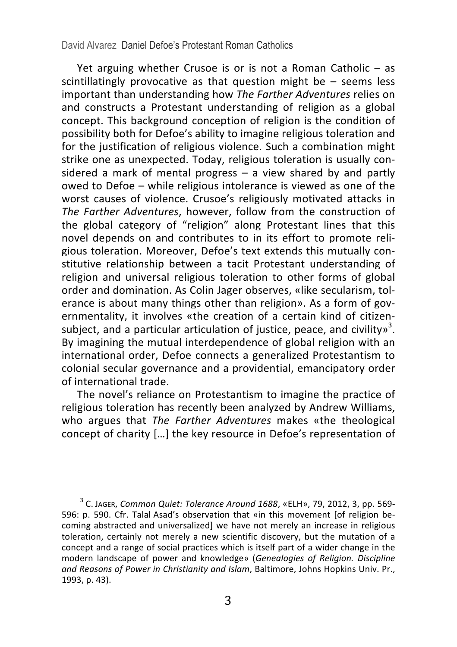#### David Alvarez Daniel Defoe's Protestant Roman Catholics

Yet arguing whether Crusoe is or is not a Roman Catholic  $-$  as scintillatingly provocative as that question might be  $-$  seems less important than understanding how The Farther Adventures relies on and constructs a Protestant understanding of religion as a global concept. This background conception of religion is the condition of possibility both for Defoe's ability to imagine religious toleration and for the justification of religious violence. Such a combination might strike one as unexpected. Today, religious toleration is usually considered a mark of mental progress  $-$  a view shared by and partly owed to Defoe – while religious intolerance is viewed as one of the worst causes of violence. Crusoe's religiously motivated attacks in *The Farther Adventures*, however, follow from the construction of the global category of "religion" along Protestant lines that this novel depends on and contributes to in its effort to promote religious toleration. Moreover, Defoe's text extends this mutually constitutive relationship between a tacit Protestant understanding of religion and universal religious toleration to other forms of global order and domination. As Colin Jager observes, «like secularism, tolerance is about many things other than religion». As a form of governmentality, it involves «the creation of a certain kind of citizensubject, and a particular articulation of justice, peace, and civility»<sup>3</sup>. By imagining the mutual interdependence of global religion with an international order. Defoe connects a generalized Protestantism to colonial secular governance and a providential, emancipatory order of international trade.

The novel's reliance on Protestantism to imagine the practice of religious toleration has recently been analyzed by Andrew Williams, who argues that *The Farther Adventures* makes «the theological concept of charity [...] the key resource in Defoe's representation of

<sup>3</sup> C. JAGER, *Common Quiet: Tolerance Around 1688*, «ELH», 79, 2012, 3, pp. 569-596: p. 590. Cfr. Talal Asad's observation that «in this movement [of religion becoming abstracted and universalized] we have not merely an increase in religious toleration, certainly not merely a new scientific discovery, but the mutation of a concept and a range of social practices which is itself part of a wider change in the modern landscape of power and knowledge» (*Genealogies of Religion. Discipline* and Reasons of Power in Christianity and *Islam*, Baltimore, Johns Hopkins Univ. Pr., 1993, p. 43).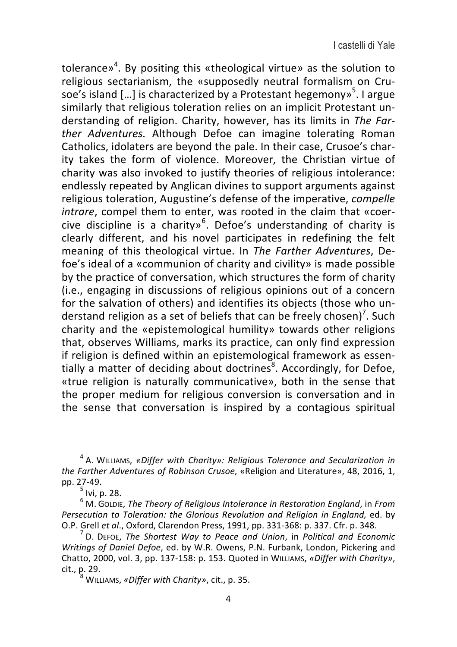tolerance»<sup>4</sup>. By positing this «theological virtue» as the solution to religious sectarianism, the «supposedly neutral formalism on Crusoe's island [...] is characterized by a Protestant hegemony»<sup>5</sup>. I argue similarly that religious toleration relies on an implicit Protestant understanding of religion. Charity, however, has its limits in *The Farther* Adventures. Although Defoe can imagine tolerating Roman Catholics, idolaters are beyond the pale. In their case, Crusoe's charity takes the form of violence. Moreover, the Christian virtue of charity was also invoked to justify theories of religious intolerance: endlessly repeated by Anglican divines to support arguments against religious toleration, Augustine's defense of the imperative, *compelle intrare*, compel them to enter, was rooted in the claim that «coercive discipline is a charity»<sup>6</sup>. Defoe's understanding of charity is clearly different, and his novel participates in redefining the felt meaning of this theological virtue. In *The Farther Adventures*, Defoe's ideal of a «communion of charity and civility» is made possible by the practice of conversation, which structures the form of charity (i.e., engaging in discussions of religious opinions out of a concern for the salvation of others) and identifies its objects (those who understand religion as a set of beliefs that can be freely chosen)<sup>7</sup>. Such charity and the «epistemological humility» towards other religions that, observes Williams, marks its practice, can only find expression if religion is defined within an epistemological framework as essentially a matter of deciding about doctrines<sup>8</sup>. Accordingly, for Defoe, «true religion is naturally communicative», both in the sense that the proper medium for religious conversion is conversation and in the sense that conversation is inspired by a contagious spiritual

<sup>4</sup> A. WILLIAMS, «Differ with Charity»: Religious Tolerance and Secularization in *the Farther Adventures of Robinson Crusoe*, «Religion and Literature», 48, 2016, 1, pp. 27-49.<br><sup>5</sup> Ivi, p. 28.<br><sup>6</sup> M. Golbie, *The Theory of Religious Intolerance in Restoration England*, in *From* 

*Persecution to Toleration: the Glorious Revolution and Religion in England, ed. by* O.P. Grell *et al.*, Oxford, Clarendon Press, 1991, pp. 331-368: p. 337. Cfr. p. 348.<br><sup>7</sup> D. DEFOE, *The Shortest Way to Peace and Union*, in *Political and Economic* 

*Writings of Daniel Defoe, ed. by W.R. Owens, P.N. Furbank, London, Pickering and* Chatto, 2000, vol. 3, pp. 137-158: p. 153. Quoted in WILLIAMS, «Differ with Charity», cit., p. 29.<br><sup>8</sup> WILLIAMS, *«Differ with Charity»*, cit., p. 35.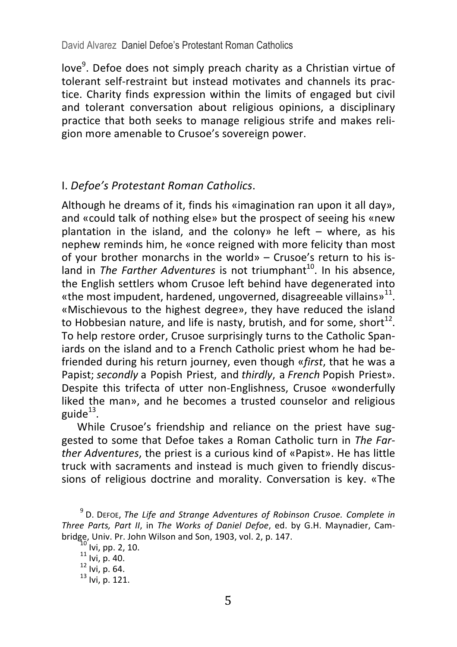love<sup>9</sup>. Defoe does not simply preach charity as a Christian virtue of tolerant self-restraint but instead motivates and channels its practice. Charity finds expression within the limits of engaged but civil and tolerant conversation about religious opinions, a disciplinary practice that both seeks to manage religious strife and makes religion more amenable to Crusoe's sovereign power.

#### I. *Defoe's Protestant Roman Catholics*.

Although he dreams of it, finds his «imagination ran upon it all day», and «could talk of nothing else» but the prospect of seeing his «new plantation in the island, and the colony» he left  $-$  where, as his nephew reminds him, he «once reigned with more felicity than most of your brother monarchs in the world» – Crusoe's return to his island in *The Farther Adventures* is not triumphant<sup>10</sup>. In his absence, the English settlers whom Crusoe left behind have degenerated into «the most impudent, hardened, ungoverned, disagreeable villains»<sup>11</sup>. «Mischievous to the highest degree», they have reduced the island to Hobbesian nature, and life is nasty, brutish, and for some, short<sup>12</sup>. To help restore order, Crusoe surprisingly turns to the Catholic Spaniards on the island and to a French Catholic priest whom he had befriended during his return journey, even though «*first*, that he was a Papist; *secondly* a Popish Priest, and *thirdly*, a French Popish Priest». Despite this trifecta of utter non-Englishness, Crusoe «wonderfully liked the man», and he becomes a trusted counselor and religious guide $13$ .

While Crusoe's friendship and reliance on the priest have suggested to some that Defoe takes a Roman Catholic turn in *The Farther Adventures*, the priest is a curious kind of «Papist». He has little truck with sacraments and instead is much given to friendly discussions of religious doctrine and morality. Conversation is key. «The

<sup>&</sup>lt;sup>9</sup> D. DEFOE, *The Life and Strange Adventures of Robinson Crusoe. Complete in Three Parts, Part II, in The Works of Daniel Defoe, ed. by G.H. Maynadier, Cam*bridge, Univ. Pr. John Wilson and Son, 1903, vol. 2, p. 147.<br>
<sup>10</sup> Ivi, pp. 2, 10.<br>
<sup>11</sup> Ivi, p. 40.<br>
<sup>12</sup> Ivi, p. 64.<br>
<sup>13</sup> Ivi. p. 121.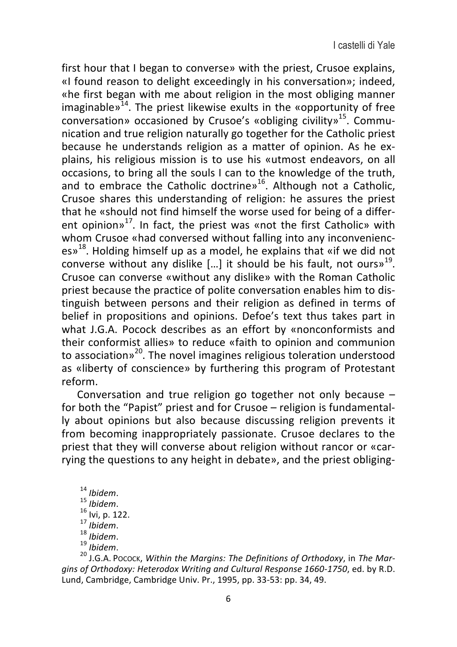first hour that I began to converse» with the priest, Crusoe explains, «I found reason to delight exceedingly in his conversation»; indeed, «he first began with me about religion in the most obliging manner imaginable»<sup>14</sup>. The priest likewise exults in the «opportunity of free  $\frac{1}{2}$  conversation» occasioned by Crusoe's «obliging civility»<sup>15</sup>. Communication and true religion naturally go together for the Catholic priest because he understands religion as a matter of opinion. As he explains, his religious mission is to use his «utmost endeavors, on all occasions, to bring all the souls I can to the knowledge of the truth, and to embrace the Catholic doctrine»<sup>16</sup>. Although not a Catholic, Crusoe shares this understanding of religion: he assures the priest that he «should not find himself the worse used for being of a different opinion» $^{17}$ . In fact, the priest was «not the first Catholic» with whom Crusoe «had conversed without falling into any inconvenienc $es<sup>18</sup>$ . Holding himself up as a model, he explains that «if we did not converse without any dislike [...] it should be his fault, not ours»<sup>19</sup>. Crusoe can converse «without any dislike» with the Roman Catholic priest because the practice of polite conversation enables him to distinguish between persons and their religion as defined in terms of belief in propositions and opinions. Defoe's text thus takes part in what J.G.A. Pocock describes as an effort by «nonconformists and their conformist allies» to reduce «faith to opinion and communion to association»<sup>20</sup>. The novel imagines religious toleration understood as «liberty of conscience» by furthering this program of Protestant reform. 

Conversation and true religion go together not only because  $$ for both the "Papist" priest and for Crusoe – religion is fundamentally about opinions but also because discussing religion prevents it from becoming inappropriately passionate. Crusoe declares to the priest that they will converse about religion without rancor or «carrying the questions to any height in debate», and the priest obliging-

- 
- 
- 
- 
- 
- 

<sup>14</sup> *Ibidem*.<br><sup>15</sup> *Ibidem*.<br><sup>16</sup> Ivi, p. 122.<br><sup>17</sup> *Ibidem*.<br><sup>19</sup> *Ibidem.*<br><sup>20</sup> J.G.A. Pocock, *Within the Margins:* The Definitions of Orthodoxy, in The Mar*gins of Orthodoxy: Heterodox Writing and Cultural Response 1660-1750*, ed. by R.D. Lund, Cambridge, Cambridge Univ. Pr., 1995, pp. 33-53: pp. 34, 49.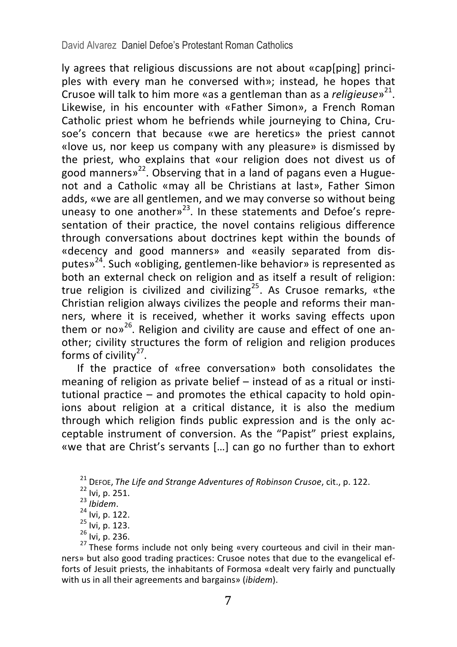David Alvarez Daniel Defoe's Protestant Roman Catholics

Iv agrees that religious discussions are not about «cap[ping] princi $p$  ples with every man he conversed with»; instead, he hopes that Crusoe will talk to him more «as a gentleman than as a *religieuse*<sup>21</sup>. Likewise, in his encounter with «Father Simon», a French Roman Catholic priest whom he befriends while journeying to China, Crusoe's concern that because «we are heretics» the priest cannot «love us, nor keep us company with any pleasure» is dismissed by the priest, who explains that «our religion does not divest us of good manners»<sup>22</sup>. Observing that in a land of pagans even a Huguenot and a Catholic «may all be Christians at last», Father Simon adds, «we are all gentlemen, and we may converse so without being uneasy to one another» $^{23}$ . In these statements and Defoe's representation of their practice, the novel contains religious difference through conversations about doctrines kept within the bounds of «decency and good manners» and «easily separated from disputes»<sup>24</sup>. Such «obliging, gentlemen-like behavior» is represented as both an external check on religion and as itself a result of religion: true religion is civilized and civilizing<sup>25</sup>. As Crusoe remarks, «the Christian religion always civilizes the people and reforms their manners, where it is received, whether it works saving effects upon them or no $v^{26}$ . Religion and civility are cause and effect of one another; civility structures the form of religion and religion produces forms of civility $27$ .

If the practice of «free conversation» both consolidates the meaning of religion as private belief  $-$  instead of as a ritual or institutional practice  $-$  and promotes the ethical capacity to hold opinions about religion at a critical distance, it is also the medium through which religion finds public expression and is the only acceptable instrument of conversion. As the "Papist" priest explains, «we that are Christ's servants [...] can go no further than to exhort

<sup>21</sup> DEFOE, The Life and Strange Adventures of Robinson Crusoe, cit., p. 122.<br><sup>22</sup> Ivi, p. 251.<br><sup>23</sup> Ibidem.<br><sup>24</sup> Ivi, p. 122.<br><sup>25</sup> Ivi, p. 123.<br><sup>25</sup> Ivi, p. 236.<br><sup>27</sup> These forms include not only being «very courteous an

ners» but also good trading practices: Crusoe notes that due to the evangelical efforts of Jesuit priests, the inhabitants of Formosa «dealt very fairly and punctually with us in all their agreements and bargains» (*ibidem*).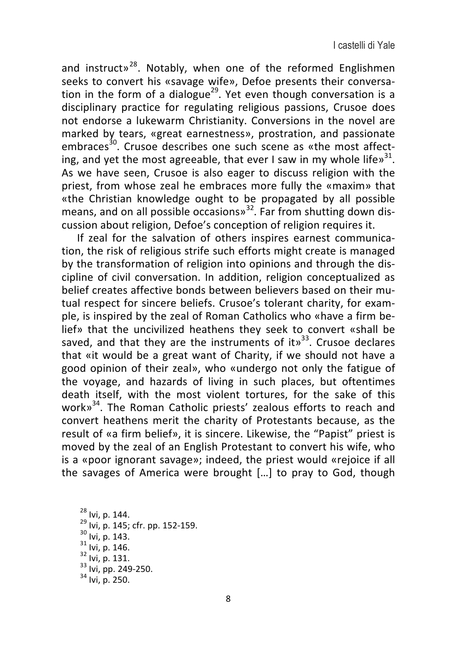and instruct»<sup>28</sup>. Notably, when one of the reformed Englishmen seeks to convert his «savage wife». Defoe presents their conversation in the form of a dialogue<sup>29</sup>. Yet even though conversation is a  $disciplinary$  practice for regulating religious passions. Crusoe does not endorse a lukewarm Christianity. Conversions in the novel are marked by tears, «great earnestness», prostration, and passionate embraces<sup>30</sup>. Crusoe describes one such scene as «the most affecting, and yet the most agreeable, that ever I saw in my whole life $v^{31}$ . As we have seen, Crusoe is also eager to discuss religion with the priest, from whose zeal he embraces more fully the «maxim» that  $\overline{\phantom{a}}$  wthe Christian knowledge ought to be propagated by all possible means, and on all possible occasions»<sup>32</sup>. Far from shutting down discussion about religion, Defoe's conception of religion requires it.

If zeal for the salvation of others inspires earnest communication, the risk of religious strife such efforts might create is managed by the transformation of religion into opinions and through the discipline of civil conversation. In addition, religion conceptualized as belief creates affective bonds between believers based on their mutual respect for sincere beliefs. Crusoe's tolerant charity, for example, is inspired by the zeal of Roman Catholics who «have a firm belief» that the uncivilized heathens they seek to convert «shall be saved, and that they are the instruments of it»<sup>33</sup>. Crusoe declares that «it would be a great want of Charity, if we should not have a good opinion of their zeal», who «undergo not only the fatigue of the voyage, and hazards of living in such places, but oftentimes death itself, with the most violent tortures, for the sake of this work»<sup>34</sup>. The Roman Catholic priests' zealous efforts to reach and convert heathens merit the charity of Protestants because, as the result of «a firm belief», it is sincere. Likewise, the "Papist" priest is moved by the zeal of an English Protestant to convert his wife, who is a «poor ignorant savage»; indeed, the priest would «rejoice if all the savages of America were brought  $[...]$  to pray to God, though

<sup>28</sup> Ivi, p. 144.<br><sup>29</sup> Ivi, p. 145; cfr. pp. 152-159.<br><sup>30</sup> Ivi, p. 143.<br><sup>31</sup> Ivi, p. 146.<br><sup>32</sup> Ivi, p. 131.<br><sup>33</sup> Ivi, pp. 249-250.<br><sup>34</sup> Ivi. p. 250.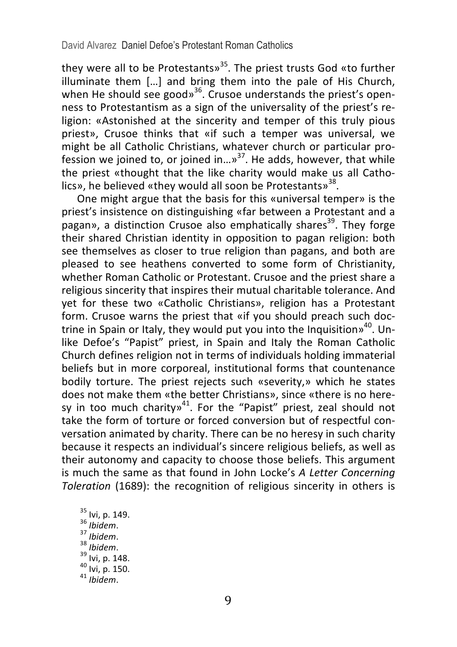they were all to be Protestants» $35$ . The priest trusts God «to further  $\frac{1}{2}$  illuminate them [...] and bring them into the pale of His Church, when He should see good»<sup>36</sup>. Crusoe understands the priest's openness to Protestantism as a sign of the universality of the priest's religion: «Astonished at the sincerity and temper of this truly pious priest». Crusoe thinks that «if such a temper was universal, we might be all Catholic Christians, whatever church or particular profession we joined to, or joined  $\lim_{n \to \infty}$ <sup>37</sup>. He adds, however, that while the priest «thought that the like charity would make us all Catholics», he believed «they would all soon be Protestants»<sup>38</sup>.

One might argue that the basis for this «universal temper» is the priest's insistence on distinguishing «far between a Protestant and a  $\overline{p}$  pagan», a distinction Crusoe also emphatically shares<sup>39</sup>. They forge their shared Christian identity in opposition to pagan religion: both see themselves as closer to true religion than pagans, and both are pleased to see heathens converted to some form of Christianity, whether Roman Catholic or Protestant. Crusoe and the priest share a religious sincerity that inspires their mutual charitable tolerance. And yet for these two «Catholic Christians», religion has a Protestant form. Crusoe warns the priest that «if you should preach such doctrine in Spain or Italy, they would put you into the Inquisition»<sup>40</sup>. Unlike Defoe's "Papist" priest, in Spain and Italy the Roman Catholic Church defines religion not in terms of individuals holding immaterial beliefs but in more corporeal, institutional forms that countenance bodily torture. The priest rejects such «severity,» which he states does not make them «the better Christians», since «there is no heresy in too much charity»<sup>41</sup>. For the "Papist" priest, zeal should not take the form of torture or forced conversion but of respectful conversation animated by charity. There can be no heresy in such charity because it respects an individual's sincere religious beliefs, as well as their autonomy and capacity to choose those beliefs. This argument is much the same as that found in John Locke's *A Letter Concerning Toleration* (1689): the recognition of religious sincerity in others is

35 Ivi, p. 149. 36 *Ibidem*. 37 *Ibidem*. 38 *Ibidem*. 39 Ivi, p. 148. 40 Ivi, p. 150. 41 *Ibidem*.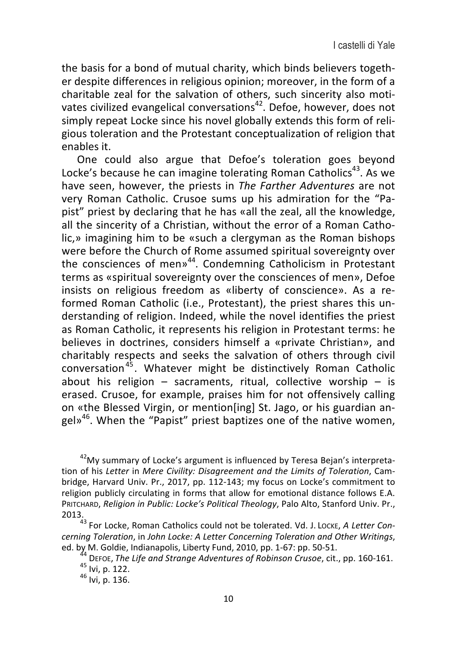the basis for a bond of mutual charity, which binds believers together despite differences in religious opinion; moreover, in the form of a charitable zeal for the salvation of others, such sincerity also motivates civilized evangelical conversations<sup>42</sup>. Defoe, however, does not simply repeat Locke since his novel globally extends this form of religious toleration and the Protestant conceptualization of religion that enables it. 

One could also argue that Defoe's toleration goes beyond Locke's because he can imagine tolerating Roman Catholics<sup>43</sup>. As we have seen, however, the priests in *The Farther Adventures* are not very Roman Catholic. Crusoe sums up his admiration for the "Papist" priest by declaring that he has «all the zeal, all the knowledge, all the sincerity of a Christian, without the error of a Roman Catholic,» imagining him to be «such a clergyman as the Roman bishops were before the Church of Rome assumed spiritual sovereignty over the consciences of men»<sup>44</sup>. Condemning Catholicism in Protestant terms as «spiritual sovereignty over the consciences of men», Defoe insists on religious freedom as «liberty of conscience». As a reformed Roman Catholic (i.e., Protestant), the priest shares this understanding of religion. Indeed, while the novel identifies the priest as Roman Catholic, it represents his religion in Protestant terms: he believes in doctrines, considers himself a «private Christian», and charitably respects and seeks the salvation of others through civil conversation<sup>45</sup>. Whatever might be distinctively Roman Catholic about his religion  $-$  sacraments, ritual, collective worship  $-$  is erased. Crusoe, for example, praises him for not offensively calling on «the Blessed Virgin, or mention[ing] St. Jago, or his guardian angel»<sup>46</sup>. When the "Papist" priest baptizes one of the native women,

 $^{42}$ My summary of Locke's argument is influenced by Teresa Bejan's interpretation of his *Letter* in *Mere Civility: Disagreement and the Limits of Toleration*, Cambridge, Harvard Univ. Pr., 2017, pp. 112-143; my focus on Locke's commitment to religion publicly circulating in forms that allow for emotional distance follows E.A. PRITCHARD, *Religion in Public: Locke's Political Theology*, Palo Alto, Stanford Univ. Pr., 2013.<br><sup>43</sup> For Locke, Roman Catholics could not be tolerated. Vd. J. Locke, *A Letter Con-*

*cerning Toleration,* in *John Locke: A Letter Concerning Toleration and Other Writings,*<br>ed. by M. Goldie, Indianapolis, Liberty Fund, 2010, pp. 1-67: pp. 50-51.

<sup>44</sup> DEFOE, The Life and Strange Adventures of Robinson Crusoe, cit., pp. 160-161.<br><sup>45</sup> Ivi, p. 122.<br><sup>46</sup> Ivi. p. 136.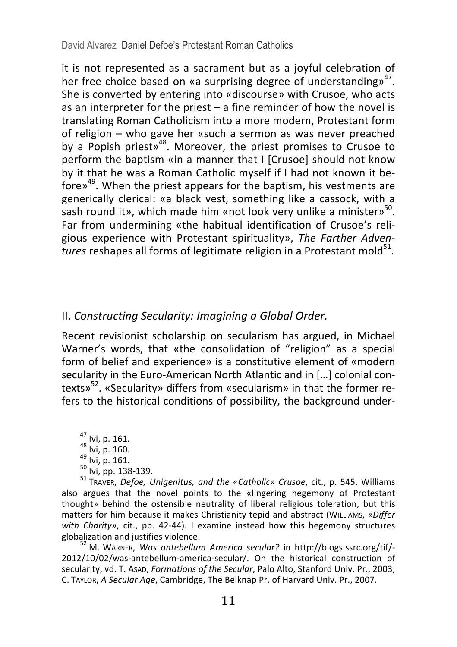David Alvarez Daniel Defoe's Protestant Roman Catholics

it is not represented as a sacrament but as a joyful celebration of her free choice based on «a surprising degree of understanding»<sup>47</sup>. She is converted by entering into «discourse» with Crusoe, who acts as an interpreter for the priest  $-$  a fine reminder of how the novel is translating Roman Catholicism into a more modern, Protestant form of religion – who gave her «such a sermon as was never preached by a Popish priest»<sup>48</sup>. Moreover, the priest promises to Crusoe to perform the baptism «in a manner that I [Crusoe] should not know by it that he was a Roman Catholic myself if I had not known it before $v^{49}$ . When the priest appears for the baptism, his vestments are generically clerical: «a black vest, something like a cassock, with a sash round it», which made him «not look very unlike a minister»<sup>50</sup>. Far from undermining «the habitual identification of Crusoe's religious experience with Protestant spirituality», The Farther Adven*tures* reshapes all forms of legitimate religion in a Protestant mold<sup>51</sup>.

#### II. Constructing Secularity: Imagining a Global Order.

Recent revisionist scholarship on secularism has argued, in Michael Warner's words, that «the consolidation of "religion" as a special form of belief and experience» is a constitutive element of «modern secularity in the Euro-American North Atlantic and in [...] colonial contexts»<sup>52</sup>. «Secularity» differs from «secularism» in that the former refers to the historical conditions of possibility, the background under-

<sup>47</sup> Ivi, p. 161.<br><sup>48</sup> Ivi, p. 160.<br><sup>49</sup> Ivi, p. 161.<br><sup>50</sup> Ivi, pp. 138-139.<br><sup>51</sup> TRAVER, *Defoe, Unigenitus, and the «Catholic» Crusoe*, cit., p. 545. Williams

also argues that the novel points to the «lingering hegemony of Protestant thought» behind the ostensible neutrality of liberal religious toleration, but this matters for him because it makes Christianity tepid and abstract (WILLIAMS, «Differ with Charity», cit., pp. 42-44). I examine instead how this hegemony structures globalization and justifies violence.<br><sup>52</sup> M. WARNER, *Was antebellum America secular*? in http://blogs.ssrc.org/tif/-

2012/10/02/was-antebellum-america-secular/. On the historical construction of secularity, vd. T. Asap, *Formations of the Secular*, Palo Alto, Stanford Univ. Pr., 2003; C. TAYLOR, *A Secular Age*, Cambridge, The Belknap Pr. of Harvard Univ. Pr., 2007.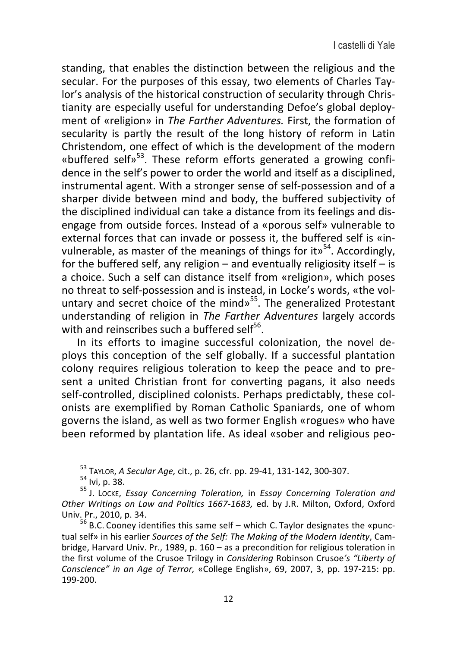standing, that enables the distinction between the religious and the secular. For the purposes of this essay, two elements of Charles Taylor's analysis of the historical construction of secularity through Christianity are especially useful for understanding Defoe's global deployment of «religion» in *The Farther Adventures*. First, the formation of secularity is partly the result of the long history of reform in Latin Christendom, one effect of which is the development of the modern «buffered self» $^{53}$ . These reform efforts generated a growing confidence in the self's power to order the world and itself as a disciplined. instrumental agent. With a stronger sense of self-possession and of a sharper divide between mind and body, the buffered subjectivity of the disciplined individual can take a distance from its feelings and disengage from outside forces. Instead of a «porous self» vulnerable to external forces that can invade or possess it, the buffered self is «invulnerable, as master of the meanings of things for it»<sup>54</sup>. Accordingly, for the buffered self, any religion  $-$  and eventually religiosity itself  $-$  is a choice. Such a self can distance itself from «religion», which poses no threat to self-possession and is instead, in Locke's words, «the voluntary and secret choice of the mind»<sup>55</sup>. The generalized Protestant understanding of religion in The Farther Adventures largely accords with and reinscribes such a buffered self<sup>56</sup>.

In its efforts to imagine successful colonization, the novel deploys this conception of the self globally. If a successful plantation colony requires religious toleration to keep the peace and to present a united Christian front for converting pagans, it also needs self-controlled, disciplined colonists. Perhaps predictably, these colonists are exemplified by Roman Catholic Spaniards, one of whom governs the island, as well as two former English «rogues» who have been reformed by plantation life. As ideal «sober and religious peo-

<sup>53</sup> TAYLOR, *A Secular Age,* cit., p. 26, cfr. pp. 29-41, 131-142, 300-307.<br><sup>54</sup> Ivi, p. 38.<br><sup>55</sup> J. Locke, *Essay Concerning Toleration,* in *Essay Concerning Toleration and* Other Writings on Law and Politics 1667-1683, ed. by J.R. Milton, Oxford, Oxford Univ. Pr., 2010, p. 34.  $56$  B.C. Cooney identifies this same self – which C. Taylor designates the «punc-

tual self» in his earlier Sources of the Self: The Making of the Modern Identity. Cambridge, Harvard Univ. Pr., 1989, p. 160 – as a precondition for religious toleration in the first volume of the Crusoe Trilogy in *Considering* Robinson Crusoe's "Liberty of *Conscience"* in an Age of Terror, «College English», 69, 2007, 3, pp. 197-215: pp. 199-200.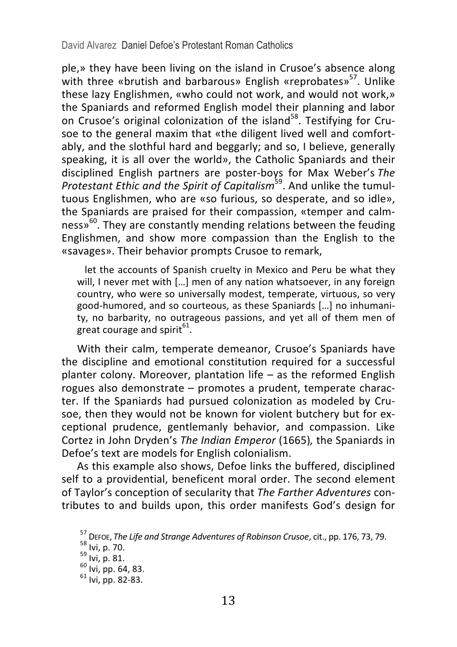David Alvarez Daniel Defoe's Protestant Roman Catholics

ple,» they have been living on the island in Crusoe's absence along with three «brutish and barbarous» English «reprobates»<sup>57</sup>. Unlike these lazy Englishmen, «who could not work, and would not work,» the Spaniards and reformed English model their planning and labor on Crusoe's original colonization of the island<sup>58</sup>. Testifying for Crusoe to the general maxim that «the diligent lived well and comfortably, and the slothful hard and beggarly; and so, I believe, generally speaking, it is all over the world», the Catholic Spaniards and their disciplined English partners are poster-boys for Max Weber's The *Protestant Ethic and the Spirit of Capitalism*<sup>59</sup>. And unlike the tumultuous Englishmen, who are «so furious, so desperate, and so idle», the Spaniards are praised for their compassion, «temper and calmness»<sup>60</sup>. They are constantly mending relations between the feuding Englishmen, and show more compassion than the English to the «savages». Their behavior prompts Crusoe to remark,

let the accounts of Spanish cruelty in Mexico and Peru be what they will, I never met with [...] men of any nation whatsoever, in any foreign country, who were so universally modest, temperate, virtuous, so very good-humored, and so courteous, as these Spaniards [...] no inhumanity, no barbarity, no outrageous passions, and yet all of them men of great courage and spirit<sup>61</sup>.

With their calm, temperate demeanor, Crusoe's Spaniards have the discipline and emotional constitution required for a successful planter colony. Moreover, plantation life  $-$  as the reformed English rogues also demonstrate - promotes a prudent, temperate character. If the Spaniards had pursued colonization as modeled by Crusoe, then they would not be known for violent butchery but for exceptional prudence, gentlemanly behavior, and compassion. Like Cortez in John Dryden's *The Indian Emperor* (1665), the Spaniards in Defoe's text are models for English colonialism.

As this example also shows, Defoe links the buffered, disciplined self to a providential, beneficent moral order. The second element of Taylor's conception of secularity that The Farther Adventures contributes to and builds upon, this order manifests God's design for

<sup>&</sup>lt;sup>57</sup> DEFOE, *The Life and Strange Adventures of Robinson Crusoe*, cit., pp. 176, 73, 79.<br><sup>58</sup> Ivi, p. 70.<br><sup>59</sup> Ivi, p. 81.<br><sup>60</sup> Ivi, pp. 64, 83. 6<sup>1</sup> Ivi. np. 82-83.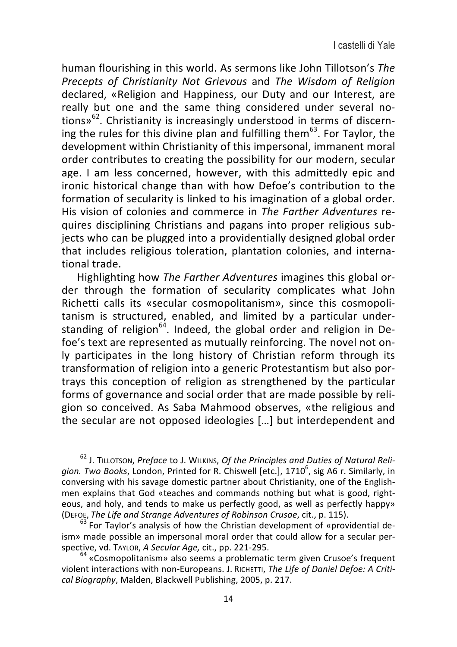human flourishing in this world. As sermons like John Tillotson's *The Precepts of Christianity Not Grievous* and *The Wisdom of Religion* declared, «Religion and Happiness, our Duty and our Interest, are really but one and the same thing considered under several notions» $62$ . Christianity is increasingly understood in terms of discerning the rules for this divine plan and fulfilling them<sup>63</sup>. For Taylor, the development within Christianity of this impersonal, immanent moral order contributes to creating the possibility for our modern, secular age. I am less concerned, however, with this admittedly epic and ironic historical change than with how Defoe's contribution to the formation of secularity is linked to his imagination of a global order. His vision of colonies and commerce in *The Farther Adventures* requires disciplining Christians and pagans into proper religious subjects who can be plugged into a providentially designed global order that includes religious toleration, plantation colonies, and international trade.

Highlighting how *The Farther Adventures* imagines this global order through the formation of secularity complicates what John Richetti calls its «secular cosmopolitanism», since this cosmopolitanism is structured, enabled, and limited by a particular understanding of religion<sup>64</sup>. Indeed, the global order and religion in Defoe's text are represented as mutually reinforcing. The novel not on-Iv participates in the long history of Christian reform through its transformation of religion into a generic Protestantism but also portrays this conception of religion as strengthened by the particular forms of governance and social order that are made possible by religion so conceived. As Saba Mahmood observes, «the religious and the secular are not opposed ideologies [...] but interdependent and

<sup>62</sup> J. TILLOTSON, Preface to J. WILKINS, Of the Principles and Duties of Natural Religion. Two Books, London, Printed for R. Chiswell [etc.], 1710<sup>6</sup>, sig A6 r. Similarly, in conversing with his savage domestic partner about Christianity, one of the Englishmen explains that God «teaches and commands nothing but what is good, righteous, and holy, and tends to make us perfectly good, as well as perfectly happy»<br>(DEFOE, The Life and Strange Adventures of Robinson Crusoe, cit., p. 115).

<sup>63</sup> For Tavlor's analysis of how the Christian development of «providential deism» made possible an impersonal moral order that could allow for a secular per-<br>spective, vd. Taylor, A Secular Age, cit., pp. 221-295.

<sup>64</sup> «Cosmopolitanism» also seems a problematic term given Crusoe's frequent violent interactions with non-Europeans. J. RICHETTI, The Life of Daniel Defoe: A Criti*cal Biography*, Malden, Blackwell Publishing, 2005, p. 217.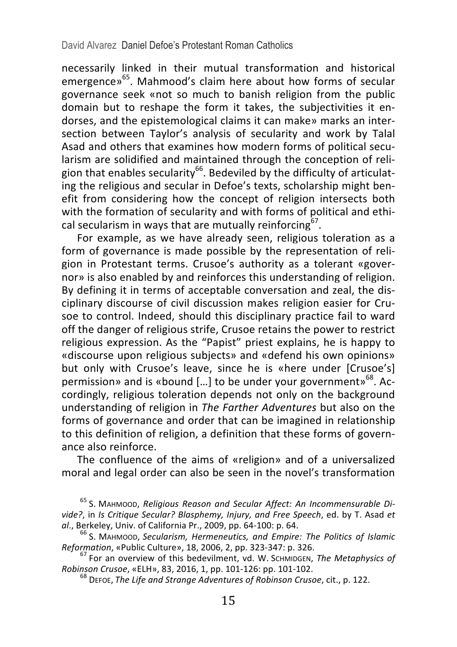necessarily linked in their mutual transformation and historical  $e^{65}$ . Mahmood's claim here about how forms of secular governance seek «not so much to banish religion from the public  $\overline{a}$  domain but to reshape the form it takes, the subjectivities it endorses, and the epistemological claims it can make» marks an intersection between Taylor's analysis of secularity and work by Talal Asad and others that examines how modern forms of political secularism are solidified and maintained through the conception of religion that enables secularity<sup>66</sup>. Bedeviled by the difficulty of articulating the religious and secular in Defoe's texts, scholarship might benefit from considering how the concept of religion intersects both with the formation of secularity and with forms of political and ethical secularism in ways that are mutually reinforcing<sup>67</sup>.

For example, as we have already seen, religious toleration as a form of governance is made possible by the representation of religion in Protestant terms. Crusoe's authority as a tolerant «governor» is also enabled by and reinforces this understanding of religion. By defining it in terms of acceptable conversation and zeal, the disciplinary discourse of civil discussion makes religion easier for Crusoe to control. Indeed, should this disciplinary practice fail to ward off the danger of religious strife, Crusoe retains the power to restrict religious expression. As the "Papist" priest explains, he is happy to «discourse upon religious subiects» and «defend his own opinions» but only with Crusoe's leave, since he is «here under [Crusoe's] permission» and is «bound [...] to be under your government»<sup>68</sup>. Accordingly, religious toleration depends not only on the background understanding of religion in *The Farther Adventures* but also on the forms of governance and order that can be imagined in relationship to this definition of religion, a definition that these forms of governance also reinforce.

The confluence of the aims of «religion» and of a universalized moral and legal order can also be seen in the novel's transformation

<sup>&</sup>lt;sup>65</sup> S. MAHMOOD, *Religious Reason and Secular Affect: An Incommensurable Divide?*, in *Is Critique Secular? Blasphemy, Injury, and Free Speech, ed. by T. Asad et al.* Berkeley. Univ. of California Pr., 2009, pp. 64-100; p. 64.

<sup>&</sup>lt;sup>66</sup> S. MAHMOOD, *Secularism, Hermeneutics, and Empire: The Politics of Islamic Reformation, «Public Culture», 18, 2006, 2, pp. 323-347: p. 326.* 

<sup>&</sup>lt;sup>67</sup> For an overview of this bedevilment, vd. W. SchMIDGEN, *The Metaphysics of Robinson Crusoe*, «ELH», 83, 2016, 1, pp. 101-126: pp. 101-102.

<sup>&</sup>lt;sup>68</sup> Deroe, *The Life and Strange Adventures of Robinson Crusoe*, cit., p. 122.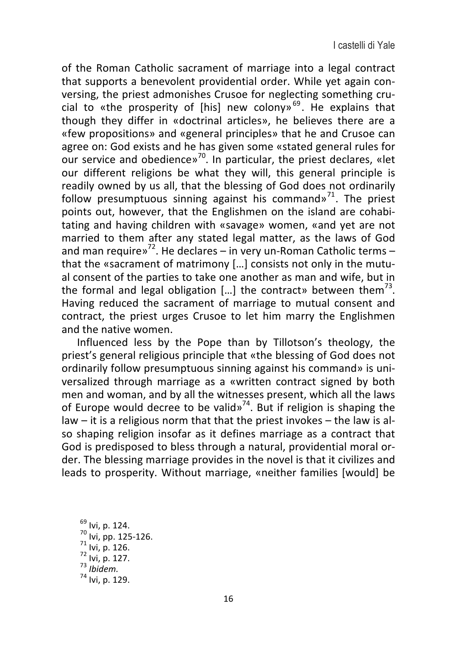of the Roman Catholic sacrament of marriage into a legal contract that supports a benevolent providential order. While yet again conversing, the priest admonishes Crusoe for neglecting something crucial to «the prosperity of [his] new colony»<sup>69</sup>. He explains that though they differ in «doctrinal articles», he believes there are a «few propositions» and «general principles» that he and Crusoe can agree on: God exists and he has given some «stated general rules for our service and obedience»<sup>70</sup>. In particular, the priest declares, «let our different religions be what they will, this general principle is readily owned by us all, that the blessing of God does not ordinarily follow presumptuous sinning against his command»<sup>71</sup>. The priest points out, however, that the Englishmen on the island are cohabitating and having children with «savage» women, «and yet are not married to them after any stated legal matter, as the laws of God and man require»<sup>72</sup>. He declares – in very un-Roman Catholic terms – that the «sacrament of matrimony  $[...]$  consists not only in the mutual consent of the parties to take one another as man and wife, but in the formal and legal obligation [...] the contract» between them<sup>73</sup>. Having reduced the sacrament of marriage to mutual consent and contract, the priest urges Crusoe to let him marry the Englishmen and the native women.

Influenced less by the Pope than by Tillotson's theology, the priest's general religious principle that «the blessing of God does not ordinarily follow presumptuous sinning against his command» is universalized through marriage as a «written contract signed by both men and woman, and by all the witnesses present, which all the laws of Europe would decree to be valid»<sup>74</sup>. But if religion is shaping the law  $-$  it is a religious norm that that the priest invokes  $-$  the law is also shaping religion insofar as it defines marriage as a contract that God is predisposed to bless through a natural, providential moral order. The blessing marriage provides in the novel is that it civilizes and leads to prosperity. Without marriage, «neither families [would] be

<sup>69</sup> Ivi, p. 124.<br><sup>70</sup> Ivi, pp. 125-126.<br><sup>71</sup> Ivi, p. 126.<br><sup>72</sup> Ivi, p. 127.<br><sup>73</sup> *Ibidem.*<br><sup>74</sup> Ivi. p. 129.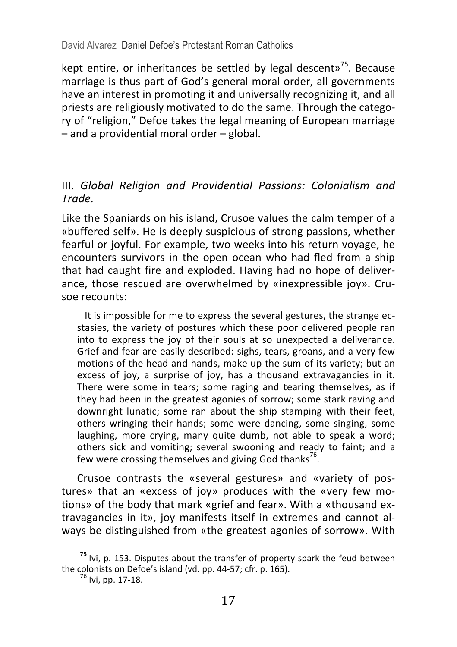kept entire, or inheritances be settled by legal descent»<sup>75</sup>. Because marriage is thus part of God's general moral order, all governments have an interest in promoting it and universally recognizing it, and all priests are religiously motivated to do the same. Through the category of "religion." Defoe takes the legal meaning of European marriage  $-$  and a providential moral order  $-$  global.

#### III. Global Religion and Providential Passions: Colonialism and *Trade.*

Like the Spaniards on his island, Crusoe values the calm temper of a «buffered self». He is deeply suspicious of strong passions, whether fearful or joyful. For example, two weeks into his return voyage, he encounters survivors in the open ocean who had fled from a ship that had caught fire and exploded. Having had no hope of deliverance, those rescued are overwhelmed by «inexpressible joy». Crusoe recounts:

It is impossible for me to express the several gestures, the strange ecstasies, the variety of postures which these poor delivered people ran into to express the joy of their souls at so unexpected a deliverance. Grief and fear are easily described: sighs, tears, groans, and a very few motions of the head and hands, make up the sum of its variety; but an excess of joy, a surprise of joy, has a thousand extravagancies in it. There were some in tears; some raging and tearing themselves, as if they had been in the greatest agonies of sorrow; some stark raving and downright lunatic; some ran about the ship stamping with their feet, others wringing their hands; some were dancing, some singing, some laughing, more crying, many quite dumb, not able to speak a word; others sick and vomiting; several swooning and ready to faint; and a few were crossing themselves and giving God thanks<sup>76</sup>.

Crusoe contrasts the «several gestures» and «variety of postures» that an «excess of joy» produces with the «very few motions» of the body that mark «grief and fear». With a «thousand extravagancies in it», joy manifests itself in extremes and cannot always be distinguished from «the greatest agonies of sorrow». With

<sup>&</sup>lt;sup>75</sup> Ivi, p. 153. Disputes about the transfer of property spark the feud between the colonists on Defoe's island (vd. pp. 44-57; cfr. p. 165).  $^{76}$  Ivi, pp. 17-18.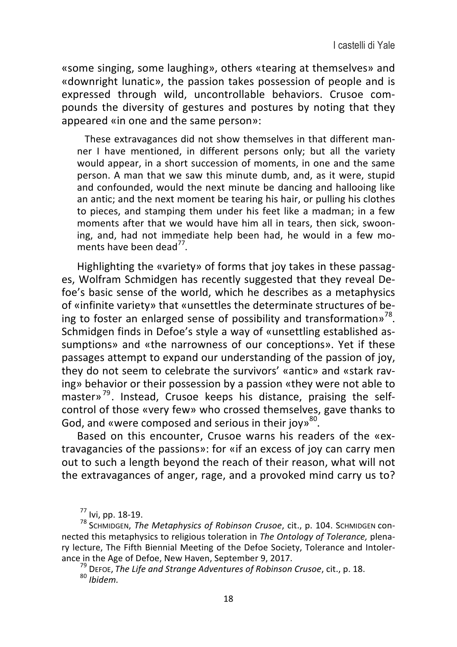«some singing, some laughing», others «tearing at themselves» and «downright lunatic», the passion takes possession of people and is expressed through wild, uncontrollable behaviors. Crusoe compounds the diversity of gestures and postures by noting that they appeared «in one and the same person»:

These extravagances did not show themselves in that different manner I have mentioned, in different persons only; but all the variety would appear, in a short succession of moments, in one and the same person. A man that we saw this minute dumb, and, as it were, stupid and confounded, would the next minute be dancing and hallooing like an antic; and the next moment be tearing his hair, or pulling his clothes to pieces, and stamping them under his feet like a madman; in a few moments after that we would have him all in tears, then sick, swooning, and, had not immediate help been had, he would in a few moments have been dead $^{77}$ .

Highlighting the «variety» of forms that joy takes in these passages. Wolfram Schmidgen has recently suggested that they reveal Defoe's basic sense of the world, which he describes as a metaphysics of «infinite variety» that «unsettles the determinate structures of being to foster an enlarged sense of possibility and transformation»<sup>78</sup>. Schmidgen finds in Defoe's style a way of «unsettling established assumptions» and «the narrowness of our conceptions». Yet if these passages attempt to expand our understanding of the passion of joy, they do not seem to celebrate the survivors' «antic» and «stark raving» behavior or their possession by a passion «they were not able to master» $^{79}$ . Instead, Crusoe keeps his distance, praising the selfcontrol of those «very few» who crossed themselves, gave thanks to God, and «were composed and serious in their joy»<sup>80</sup>.

Based on this encounter, Crusoe warns his readers of the «extravagancies of the passions»: for «if an excess of joy can carry men out to such a length beyond the reach of their reason, what will not the extravagances of anger, rage, and a provoked mind carry us to?

<sup>79</sup> DEFOE, The Life and Strange Adventures of Robinson Crusoe, cit., p. 18. 80 *Ibidem* 

<sup>&</sup>lt;sup>77</sup> Ivi, pp. 18-19.<br><sup>78</sup> Schmidgen, *The Metaphysics of Robinson Crusoe*, cit., p. 104. Schmidgen connected this metaphysics to religious toleration in *The Ontology of Tolerance*, plenary lecture, The Fifth Biennial Meeting of the Defoe Society, Tolerance and Intoler-<br>ance in the Age of Defoe, New Haven, September 9, 2017.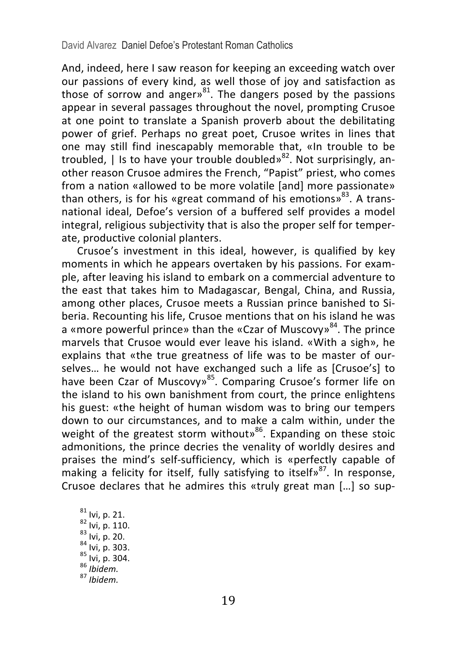And, indeed, here I saw reason for keeping an exceeding watch over our passions of every kind, as well those of joy and satisfaction as those of sorrow and angers<sup>81</sup>. The dangers posed by the passions appear in several passages throughout the novel, prompting Crusoe at one point to translate a Spanish proverb about the debilitating power of grief. Perhaps no great poet. Crusoe writes in lines that one may still find inescapably memorable that, «In trouble to be troubled,  $\vert$  is to have your trouble doubled»<sup>82</sup>. Not surprisingly, another reason Crusoe admires the French, "Papist" priest, who comes from a nation «allowed to be more volatile [and] more passionate» than others, is for his «great command of his emotions»<sup>83</sup>. A transnational ideal, Defoe's version of a buffered self provides a model integral, religious subjectivity that is also the proper self for temperate, productive colonial planters.

Crusoe's investment in this ideal, however, is qualified by key moments in which he appears overtaken by his passions. For example, after leaving his island to embark on a commercial adventure to the east that takes him to Madagascar, Bengal, China, and Russia, among other places, Crusoe meets a Russian prince banished to Siberia. Recounting his life, Crusoe mentions that on his island he was a «more powerful prince» than the «Czar of Muscovy»<sup>84</sup>. The prince marvels that Crusoe would ever leave his island. «With a sigh», he explains that «the true greatness of life was to be master of ourselves... he would not have exchanged such a life as [Crusoe's] to have been Czar of Muscovy»<sup>85</sup>. Comparing Crusoe's former life on the island to his own banishment from court, the prince enlightens his guest: «the height of human wisdom was to bring our tempers down to our circumstances, and to make a calm within, under the weight of the greatest storm without» $86$ . Expanding on these stoic admonitions, the prince decries the venality of worldly desires and praises the mind's self-sufficiency, which is «perfectly capable of making a felicity for itself, fully satisfying to itself»<sup>87</sup>. In response, Crusoe declares that he admires this «truly great man  $[...]$  so sup-

81 Ivi, p. 21.<br>82 Ivi, p. 110.<br>83 Ivi, p. 20.<br>84 Ivi, p. 303.<br>85 Ivi, p. 304. 86 *Ibidem.*<br>87 *Ibidem.*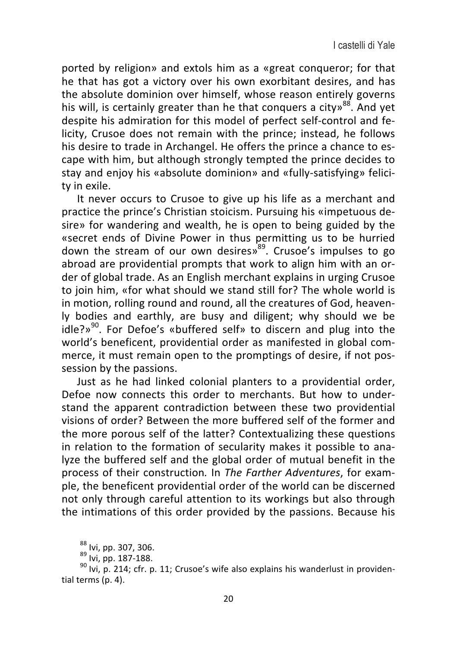ported by religion» and extols him as a «great conqueror; for that he that has got a victory over his own exorbitant desires, and has the absolute dominion over himself, whose reason entirely governs his will, is certainly greater than he that conquers a city»<sup>88</sup>. And yet despite his admiration for this model of perfect self-control and felicity. Crusoe does not remain with the prince: instead, he follows his desire to trade in Archangel. He offers the prince a chance to escape with him, but although strongly tempted the prince decides to stay and enjoy his «absolute dominion» and «fully-satisfying» felicitv in exile.

It never occurs to Crusoe to give up his life as a merchant and practice the prince's Christian stoicism. Pursuing his «impetuous desire» for wandering and wealth, he is open to being guided by the «secret ends of Divine Power in thus permitting us to be hurried down the stream of our own desires» $89$ . Crusoe's impulses to go abroad are providential prompts that work to align him with an order of global trade. As an English merchant explains in urging Crusoe to join him, «for what should we stand still for? The whole world is in motion, rolling round and round, all the creatures of God, heavenly bodies and earthly, are busy and diligent; why should we be  $idle?$ <sup>90</sup>. For Defoe's «buffered self» to discern and plug into the world's beneficent, providential order as manifested in global commerce, it must remain open to the promptings of desire, if not possession by the passions.

Just as he had linked colonial planters to a providential order, Defoe now connects this order to merchants. But how to understand the apparent contradiction between these two providential visions of order? Between the more buffered self of the former and the more porous self of the latter? Contextualizing these questions in relation to the formation of secularity makes it possible to analyze the buffered self and the global order of mutual benefit in the process of their construction. In *The Farther Adventures*, for example, the beneficent providential order of the world can be discerned not only through careful attention to its workings but also through the intimations of this order provided by the passions. Because his

 $^{88}$  Ivi, pp. 307, 306.<br> $^{89}$  Ivi, pp. 187-188.<br><sup>90</sup> Ivi, p. 214; cfr. p. 11; Crusoe's wife also explains his wanderlust in providential terms (p. 4).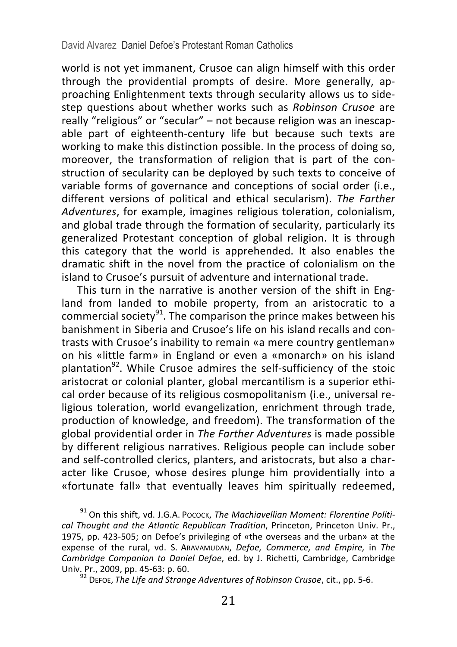world is not vet immanent. Crusoe can align himself with this order through the providential prompts of desire. More generally, approaching Enlightenment texts through secularity allows us to sidestep questions about whether works such as *Robinson Crusoe* are really "religious" or "secular" – not because religion was an inescapable part of eighteenth-century life but because such texts are working to make this distinction possible. In the process of doing so, moreover, the transformation of religion that is part of the construction of secularity can be deployed by such texts to conceive of variable forms of governance and conceptions of social order (i.e., different versions of political and ethical secularism). The Farther *Adventures*, for example, imagines religious toleration, colonialism, and global trade through the formation of secularity, particularly its generalized Protestant conception of global religion. It is through this category that the world is apprehended. It also enables the dramatic shift in the novel from the practice of colonialism on the island to Crusoe's pursuit of adventure and international trade.

This turn in the narrative is another version of the shift in England from landed to mobile property, from an aristocratic to a commercial society<sup>91</sup>. The comparison the prince makes between his banishment in Siberia and Crusoe's life on his island recalls and contrasts with Crusoe's inability to remain «a mere country gentleman» on his «little farm» in England or even a «monarch» on his island plantation $^{92}$ . While Crusoe admires the self-sufficiency of the stoic aristocrat or colonial planter, global mercantilism is a superior ethical order because of its religious cosmopolitanism (i.e., universal religious toleration, world evangelization, enrichment through trade, production of knowledge, and freedom). The transformation of the global providential order in *The Farther Adventures* is made possible by different religious narratives. Religious people can include sober and self-controlled clerics, planters, and aristocrats, but also a character like Crusoe, whose desires plunge him providentially into a «fortunate fall» that eventually leaves him spiritually redeemed,

<sup>91</sup> On this shift, vd. J.G.A. Pocock, The Machiavellian Moment: Florentine Politi*cal Thought and the Atlantic Republican Tradition*, Princeton, Princeton Univ. Pr., 1975, pp. 423-505; on Defoe's privileging of «the overseas and the urban» at the expense of the rural, vd. S. ARAVAMUDAN, *Defoe, Commerce, and Empire*, in *The Cambridge Companion to Daniel Defoe*, ed. by J. Richetti, Cambridge, Cambridge<br>Univ. Pr., 2009, pp. 45-63: p. 60.

<sup>92</sup> Deroe, *The Life and Strange Adventures of Robinson Crusoe*, cit., pp. 5-6.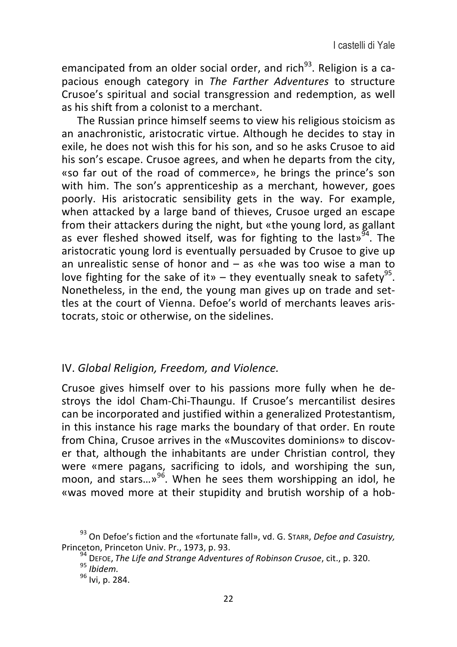emancipated from an older social order, and rich<sup>93</sup>. Religion is a capacious enough category in *The Farther Adventures* to structure Crusoe's spiritual and social transgression and redemption, as well as his shift from a colonist to a merchant.

The Russian prince himself seems to view his religious stoicism as an anachronistic, aristocratic virtue. Although he decides to stay in exile, he does not wish this for his son, and so he asks Crusoe to aid his son's escape. Crusoe agrees, and when he departs from the city. «so far out of the road of commerce», he brings the prince's son with him. The son's apprenticeship as a merchant, however, goes poorly. His aristocratic sensibility gets in the way. For example, when attacked by a large band of thieves, Crusoe urged an escape from their attackers during the night, but «the young lord, as gallant as ever fleshed showed itself, was for fighting to the last»<sup>94</sup>. The aristocratic young lord is eventually persuaded by Crusoe to give up an unrealistic sense of honor and  $-$  as «he was too wise a man to love fighting for the sake of it» – they eventually sneak to safety<sup>95</sup>. Nonetheless, in the end, the young man gives up on trade and settles at the court of Vienna. Defoe's world of merchants leaves aristocrats, stoic or otherwise, on the sidelines.

#### IV. Global Religion, Freedom, and Violence.

Crusoe gives himself over to his passions more fully when he destroys the idol Cham-Chi-Thaungu. If Crusoe's mercantilist desires can be incorporated and justified within a generalized Protestantism, in this instance his rage marks the boundary of that order. En route from China, Crusoe arrives in the «Muscovites dominions» to discover that, although the inhabitants are under Christian control, they were «mere pagans, sacrificing to idols, and worshiping the sun, moon, and stars... $v^{96}$ . When he sees them worshipping an idol, he «was moved more at their stupidity and brutish worship of a hob-

<sup>&</sup>lt;sup>93</sup> On Defoe's fiction and the «fortunate fall», vd. G. STARR, *Defoe and Casuistry,* Princeton, Princeton Univ. Pr., 1973, p. 93.

<sup>&</sup>lt;sup>94</sup> DEFOE, The Life and Strange Adventures of Robinson Crusoe, cit., p. 320. 95 *Ibidem.* 96 *Ivi* n 284.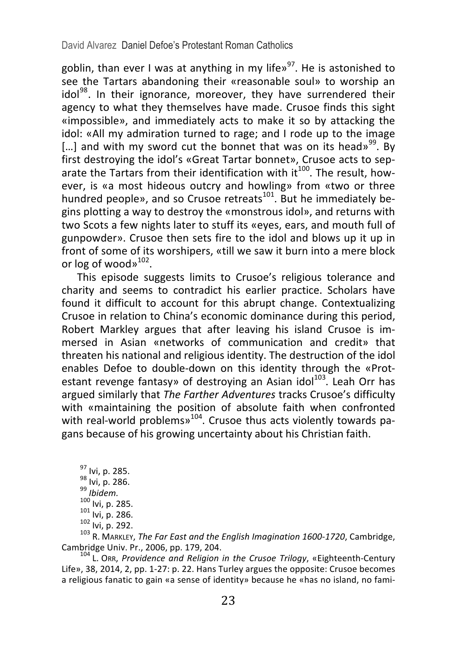goblin, than ever I was at anything in my life»<sup>97</sup>. He is astonished to see the Tartars abandoning their «reasonable soul» to worship an  $\text{idol}^{98}$ . In their ignorance, moreover, they have surrendered their agency to what they themselves have made. Crusoe finds this sight «impossible», and immediately acts to make it so by attacking the idol: «All my admiration turned to rage: and I rode up to the image [...] and with my sword cut the bonnet that was on its head»<sup>99</sup>. By first destroying the idol's «Great Tartar bonnet», Crusoe acts to separate the Tartars from their identification with it<sup>100</sup>. The result, however, is «a most hideous outcry and howling» from «two or three hundred people», and so Crusoe retreats<sup>101</sup>. But he immediately begins plotting a way to destroy the «monstrous idol», and returns with two Scots a few nights later to stuff its «eves, ears, and mouth full of gunpowder». Crusoe then sets fire to the idol and blows up it up in front of some of its worshipers, «till we saw it burn into a mere block or  $\log$  of wood»<sup>102</sup>.

This episode suggests limits to Crusoe's religious tolerance and charity and seems to contradict his earlier practice. Scholars have found it difficult to account for this abrupt change. Contextualizing Crusoe in relation to China's economic dominance during this period, Robert Markley argues that after leaving his island Crusoe is immersed in Asian «networks of communication and credit» that threaten his national and religious identity. The destruction of the idol enables Defoe to double-down on this identity through the «Protestant revenge fantasy» of destroying an Asian idol<sup>103</sup>. Leah Orr has argued similarly that The Farther Adventures tracks Crusoe's difficulty with «maintaining the position of absolute faith when confronted with real-world problems»<sup>104</sup>. Crusoe thus acts violently towards pagans because of his growing uncertainty about his Christian faith.

<sup>97</sup> Ivi, p. 285.<br><sup>98</sup> Ivi, p. 286.<br><sup>99</sup> *Ibidem.*<br><sup>100</sup> Ivi, p. 285.<br><sup>101</sup> Ivi, p. 292.<br><sup>102</sup> Ivi, p. 292.<br><sup>102</sup> R. MARKLEY, *The Far East and the English Imagination* 1600-1720, Cambridge,

Cambridge Univ. Pr., 2006, pp. 179, 204.<br><sup>104</sup> L. Orr, *Providence and Religion in the Crusoe Trilogy*, «Eighteenth-Century

Life», 38, 2014, 2, pp. 1-27: p. 22. Hans Turley argues the opposite: Crusoe becomes a religious fanatic to gain «a sense of identity» because he «has no island, no fami-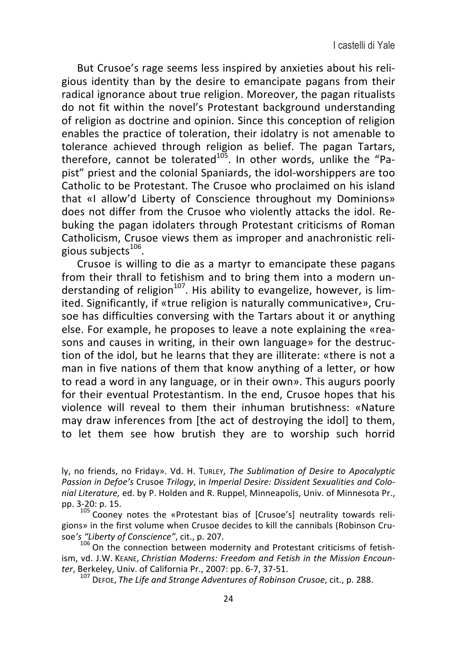But Crusoe's rage seems less inspired by anxieties about his religious identity than by the desire to emancipate pagans from their radical ignorance about true religion. Moreover, the pagan ritualists do not fit within the novel's Protestant background understanding of religion as doctrine and opinion. Since this conception of religion enables the practice of toleration, their idolatry is not amenable to tolerance achieved through religion as belief. The pagan Tartars, therefore, cannot be tolerated $1^{05}$ . In other words, unlike the "Papist" priest and the colonial Spaniards, the idol-worshippers are too Catholic to be Protestant. The Crusoe who proclaimed on his island that «I allow'd Liberty of Conscience throughout my Dominions» does not differ from the Crusoe who violently attacks the idol. Rebuking the pagan idolaters through Protestant criticisms of Roman Catholicism, Crusoe views them as improper and anachronistic religious subjects $106$ .

Crusoe is willing to die as a martyr to emancipate these pagans from their thrall to fetishism and to bring them into a modern understanding of religion<sup>107</sup>. His ability to evangelize, however, is limited. Significantly, if «true religion is naturally communicative», Crusoe has difficulties conversing with the Tartars about it or anything else. For example, he proposes to leave a note explaining the «reasons and causes in writing, in their own language» for the destruction of the idol, but he learns that they are illiterate: «there is not a man in five nations of them that know anything of a letter, or how to read a word in any language, or in their own». This augurs poorly for their eventual Protestantism. In the end, Crusoe hopes that his violence will reveal to them their inhuman brutishness: «Nature may draw inferences from [the act of destroying the idol] to them, to let them see how brutish they are to worship such horrid

ly, no friends, no Friday». Vd. H. TURLEY, *The Sublimation of Desire to Apocalyptic* Passion in Defoe's Crusoe Trilogy, in Imperial Desire: Dissident Sexualities and Colo*nial Literature,* ed. by P. Holden and R. Ruppel, Minneapolis, Univ. of Minnesota Pr., pp. 3-20: p. 15.

105 Cooney notes the «Protestant bias of [Crusoe's] neutrality towards religions» in the first volume when Crusoe decides to kill the cannibals (Robinson Crusoe's "Liberty of Conscience", cit., p. 207.<br><sup>106</sup> On the connection between modernity and Protestant criticisms of fetish-

ism, vd. J.W. KEANE, *Christian Moderns: Freedom and Fetish in the Mission Encoun-*<br>ter, Berkeley, Univ. of California Pr., 2007: pp. 6-7, 37-51.

*ter*, Berkeley, *State Life and Strange Adventures of Robinson Crusoe*, cit., p. 288.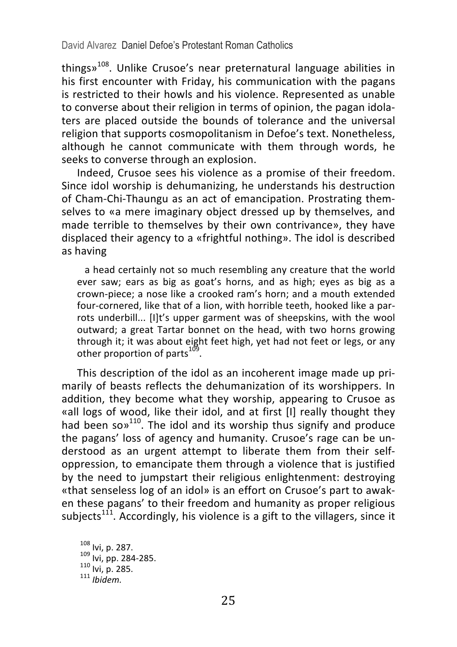things $v^{108}$ . Unlike Crusoe's near preternatural language abilities in his first encounter with Friday, his communication with the pagans is restricted to their howls and his violence. Represented as unable to converse about their religion in terms of opinion, the pagan idolaters are placed outside the bounds of tolerance and the universal religion that supports cosmopolitanism in Defoe's text. Nonetheless, although he cannot communicate with them through words, he seeks to converse through an explosion.

Indeed, Crusoe sees his violence as a promise of their freedom. Since idol worship is dehumanizing, he understands his destruction of Cham-Chi-Thaungu as an act of emancipation. Prostrating themselves to «a mere imaginary object dressed up by themselves, and made terrible to themselves by their own contrivance», they have displaced their agency to a «frightful nothing». The idol is described as having

a head certainly not so much resembling any creature that the world ever saw; ears as big as goat's horns, and as high; eyes as big as a crown-piece; a nose like a crooked ram's horn; and a mouth extended four-cornered, like that of a lion, with horrible teeth, hooked like a parrots underbill... [I]t's upper garment was of sheepskins, with the wool outward; a great Tartar bonnet on the head, with two horns growing through it; it was about eight feet high, yet had not feet or legs, or any other proportion of parts $^{109}$ .

This description of the idol as an incoherent image made up primarily of beasts reflects the dehumanization of its worshippers. In addition, they become what they worship, appearing to Crusoe as «all logs of wood, like their idol, and at first [I] really thought they had been so $v^{110}$ . The idol and its worship thus signify and produce the pagans' loss of agency and humanity. Crusoe's rage can be understood as an urgent attempt to liberate them from their selfoppression, to emancipate them through a violence that is justified by the need to jumpstart their religious enlightenment: destroying «that senseless log of an idol» is an effort on Crusoe's part to awaken these pagans' to their freedom and humanity as proper religious subjects<sup>111</sup>. Accordingly, his violence is a gift to the villagers, since it

<sup>108</sup> Ivi, p. 287.<br><sup>109</sup> Ivi, pp. 284-285.<br><sup>110</sup> Ivi, p. 285.<br><sup>111</sup> *Ibidem.*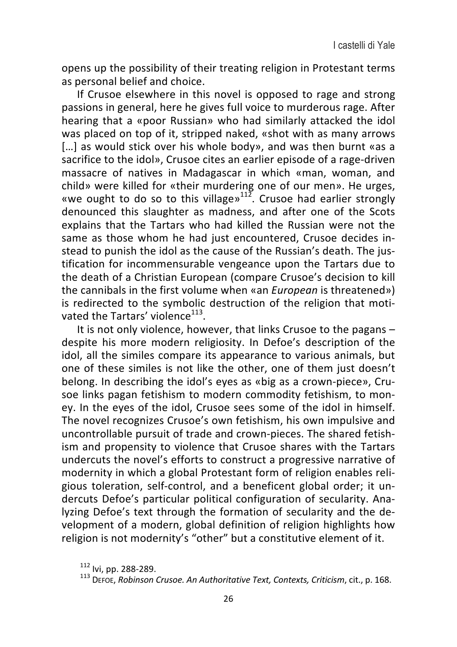opens up the possibility of their treating religion in Protestant terms as personal belief and choice.

If Crusoe elsewhere in this novel is opposed to rage and strong passions in general, here he gives full voice to murderous rage. After hearing that a «poor Russian» who had similarly attacked the idol was placed on top of it, stripped naked, «shot with as many arrows [...] as would stick over his whole body», and was then burnt «as a sacrifice to the idol». Crusoe cites an earlier episode of a rage-driven massacre of natives in Madagascar in which «man, woman, and child» were killed for «their murdering one of our men». He urges, «we ought to do so to this village»<sup>112</sup>. Crusoe had earlier strongly denounced this slaughter as madness, and after one of the Scots explains that the Tartars who had killed the Russian were not the same as those whom he had just encountered, Crusoe decides instead to punish the idol as the cause of the Russian's death. The justification for incommensurable vengeance upon the Tartars due to the death of a Christian European (compare Crusoe's decision to kill the cannibals in the first volume when «an *European* is threatened») is redirected to the symbolic destruction of the religion that motivated the Tartars' violence<sup>113</sup>.

It is not only violence, however, that links Crusoe to the pagans  $$ despite his more modern religiosity. In Defoe's description of the idol, all the similes compare its appearance to various animals, but one of these similes is not like the other, one of them just doesn't belong. In describing the idol's eyes as «big as a crown-piece», Crusoe links pagan fetishism to modern commodity fetishism, to money. In the eyes of the idol, Crusoe sees some of the idol in himself. The novel recognizes Crusoe's own fetishism, his own impulsive and uncontrollable pursuit of trade and crown-pieces. The shared fetishism and propensity to violence that Crusoe shares with the Tartars undercuts the novel's efforts to construct a progressive narrative of modernity in which a global Protestant form of religion enables religious toleration, self-control, and a beneficent global order; it undercuts Defoe's particular political configuration of secularity. Analyzing Defoe's text through the formation of secularity and the development of a modern, global definition of religion highlights how religion is not modernity's "other" but a constitutive element of it.

<sup>112</sup> Ivi, pp. 288-289.<br><sup>113</sup> Deroe, Robinson Crusoe. An Authoritative Text, Contexts, Criticism, cit., p. 168.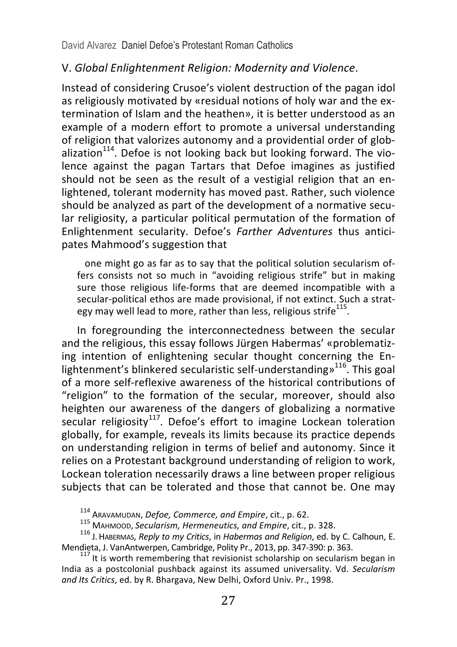#### V. *Global Enlightenment Religion: Modernity and Violence*.

Instead of considering Crusoe's violent destruction of the pagan idol as religiously motivated by «residual notions of holy war and the extermination of Islam and the heathen», it is better understood as an example of a modern effort to promote a universal understanding of religion that valorizes autonomy and a providential order of globalization<sup>114</sup>. Defoe is not looking back but looking forward. The violence against the pagan Tartars that Defoe imagines as justified should not be seen as the result of a vestigial religion that an enlightened, tolerant modernity has moved past. Rather, such violence should be analyzed as part of the development of a normative secular religiosity, a particular political permutation of the formation of Enlightenment secularity. Defoe's *Farther Adventures* thus anticipates Mahmood's suggestion that

one might go as far as to say that the political solution secularism offers consists not so much in "avoiding religious strife" but in making sure those religious life-forms that are deemed incompatible with a secular-political ethos are made provisional, if not extinct. Such a strategy may well lead to more, rather than less, religious strife<sup>115</sup>.

In foregrounding the interconnectedness between the secular and the religious, this essay follows Jürgen Habermas' «problematizing intention of enlightening secular thought concerning the Enlightenment's blinkered secularistic self-understanding»<sup>116</sup>. This goal of a more self-reflexive awareness of the historical contributions of "religion" to the formation of the secular, moreover, should also heighten our awareness of the dangers of globalizing a normative secular religiosity<sup>117</sup>. Defoe's effort to imagine Lockean toleration globally, for example, reveals its limits because its practice depends on understanding religion in terms of belief and autonomy. Since it relies on a Protestant background understanding of religion to work, Lockean toleration necessarily draws a line between proper religious subjects that can be tolerated and those that cannot be. One may

<sup>114</sup> ARAVAMUDAN, *Defoe, Commerce, and Empire*, cit., p. 62.<br><sup>115</sup> MAHMOOD, *Secularism, Hermeneutics, and Empire*, cit., p. 328.<br><sup>116</sup> J. HABERMAS, *Reply to my Critics*, in *Habermas and Religion*, ed. by C. Calhoun, E

 $^{117}$  It is worth remembering that revisionist scholarship on secularism began in India as a postcolonial pushback against its assumed universality. Vd. Secularism and Its Critics, ed. by R. Bhargava, New Delhi, Oxford Univ. Pr., 1998.